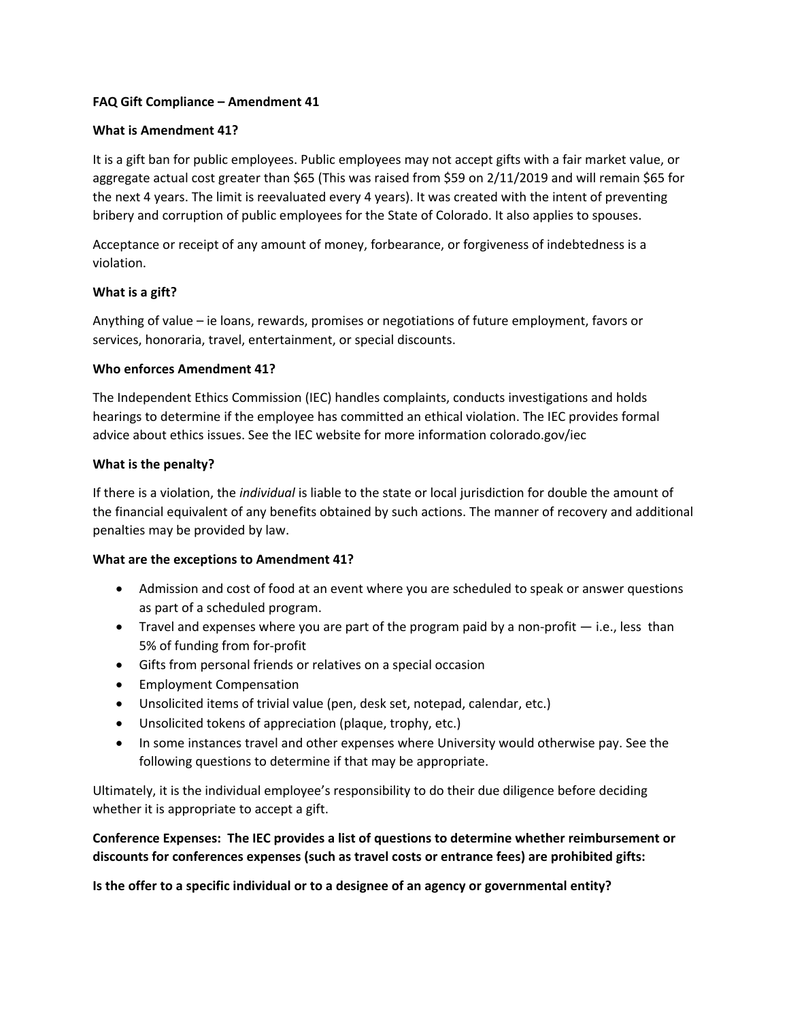## **FAQ Gift Compliance – Amendment 41**

## **What is Amendment 41?**

It is a gift ban for public employees. Public employees may not accept gifts with a fair market value, or aggregate actual cost greater than \$65 (This was raised from \$59 on 2/11/2019 and will remain \$65 for the next 4 years. The limit is reevaluated every 4 years). It was created with the intent of preventing bribery and corruption of public employees for the State of Colorado. It also applies to spouses.

Acceptance or receipt of any amount of money, forbearance, or forgiveness of indebtedness is a violation.

### **What is a gift?**

Anything of value – ie loans, rewards, promises or negotiations of future employment, favors or services, honoraria, travel, entertainment, or special discounts.

#### **Who enforces Amendment 41?**

The Independent Ethics Commission (IEC) handles complaints, conducts investigations and holds hearings to determine if the employee has committed an ethical violation. The IEC provides formal advice about ethics issues. See the IEC website for more information colorado.gov/iec

#### **What is the penalty?**

If there is a violation, the *individual* is liable to the state or local jurisdiction for double the amount of the financial equivalent of any benefits obtained by such actions. The manner of recovery and additional penalties may be provided by law.

### **What are the exceptions to Amendment 41?**

- Admission and cost of food at an event where you are scheduled to speak or answer questions as part of a scheduled program.
- Travel and expenses where you are part of the program paid by a non-profit i.e., less than 5% of funding from for‐profit
- Gifts from personal friends or relatives on a special occasion
- **•** Employment Compensation
- Unsolicited items of trivial value (pen, desk set, notepad, calendar, etc.)
- Unsolicited tokens of appreciation (plaque, trophy, etc.)
- In some instances travel and other expenses where University would otherwise pay. See the following questions to determine if that may be appropriate.

Ultimately, it is the individual employee's responsibility to do their due diligence before deciding whether it is appropriate to accept a gift.

**Conference Expenses: The IEC provides a list of questions to determine whether reimbursement or discounts for conferences expenses (such as travel costs or entrance fees) are prohibited gifts:** 

**Is the offer to a specific individual or to a designee of an agency or governmental entity?**